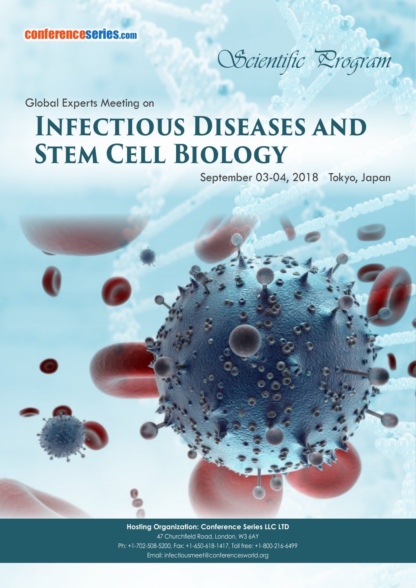## Scientific Drogram

Global Experts Meeting on

## **Infectious Diseases and Stem Cell Biology**

September 03-04, 2018 Tokyo, Japan

**Hosting Organization: Conference Series LLC LTD** 47 Churchfield Road, London, W3 6AY Ph: +1-702-508-5200, Fax: +1-650-618-1417, Toll free: +1-800-216-6499 Email: infectiousmeet@conferencesworld.org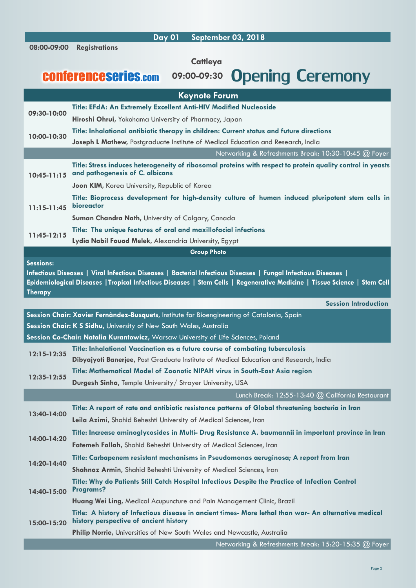**Keynote Forum 09:30-10:00 Title: EFdA: An Extremely Excellent Anti-HIV Modified Nucleoside Hiroshi Ohrui,** Yokohama University of Pharmacy, Japan **10:00-10:30 Title: Inhalational antibiotic therapy in children: Current status and future directions Joseph L Mathew,** Postgraduate Institute of Medical Education and Research, India Networking & Refreshments Break: 10:30-10:45 @ Foyer **10:45-11:15 and pathogenesis of C. albicans Title: Stress induces heterogeneity of ribosomal proteins with respect to protein quality control in yeasts Joon KIM,** Korea University, Republic of Korea **11:15-11:45 bioreactor Title: Bioprocess development for high-density culture of human induced pluripotent stem cells in Suman Chandra Nath,** University of Calgary, Canada **11:45-12:15 Title: The unique features of oral and maxillofacial infections Lydia Nabil Fouad Melek,** Alexandria University, Egypt **Group Photo Sessions: Infectious Diseases | Viral Infectious Diseases | Bacterial Infectious Diseases | Fungal Infectious Diseases | Epidemiological Diseases |Tropical Infectious Diseases | Stem Cells | Regenerative Medicine | Tissue Science | Stem Cell Therapy Session Introduction Session Chair: Xavier Fernàndez-Busquets,** Institute for Bioengineering of Catalonia, Spain **Session Chair: K S Sidhu,** University of New South Wales, Australia **Session Co-Chair: Natalia Kurantowicz,** Warsaw University of Life Sciences, Poland **12:15-12:35 Title: Inhalational Vaccination as a future course of combating tuberculosis Dibyajyoti Banerjee,** Post Graduate Institute of Medical Education and Research, India **12:35-12:55 Title: Mathematical Model of Zoonotic NIPAH virus in South-East Asia region Durgesh Sinha,** Temple University/ Strayer University, USA Lunch Break: 12:55-13:40 @ California Restaurant **13:40-14:00 Title: A report of rate and antibiotic resistance patterns of Global threatening bacteria in Iran Leila Azimi,** Shahid Beheshti University of Medical Sciences, Iran **14:00-14:20 Title: Increase aminoglycosides in Multi- Drug Resistance A. baumannii in important province in Iran Fatemeh Fallah,** Shahid Beheshti University of Medical Sciences, Iran **14:20-14:40 Title: Carbapenem resistant mechanisms in Pseudomonas aeruginosa; A report from Iran Shahnaz Armin,** Shahid Beheshti University of Medical Sciences, Iran **14:40-15:00 Title: Why do Patients Still Catch Hospital Infectious Despite the Practice of Infection Control Programs? Huang Wei Ling,** Medical Acupuncture and Pain Management Clinic, Brazil **15:00-15:20 Title: A history of Infectious disease in ancient times- More lethal than war- An alternative medical history perspective of ancient history Philip Norrie,** Universities of New South Wales and Newcastle, Australia Networking & Refreshments Break: 15:20-15:35 @ Foyer **08:00-09:00 Registrations Day 01 September 03, 2018 Cattleya** conferenceseries.com **09:00-09:30** Opening Ceremony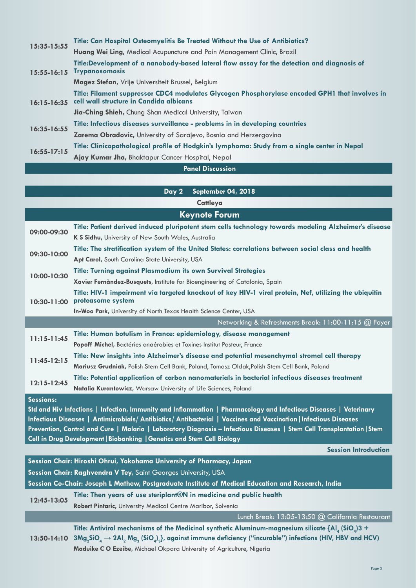| <b>Danal Dicessocian</b>           |                                                                                                                                           |  |
|------------------------------------|-------------------------------------------------------------------------------------------------------------------------------------------|--|
| $16:35 - 16:55$<br>$16:55 - 17:15$ | Ajay Kumar Jha, Bhaktapur Cancer Hospital, Nepal                                                                                          |  |
|                                    | Title: Clinicopathological profile of Hodgkin's lymphoma: Study from a single center in Nepal                                             |  |
|                                    | Zarema Obradovic, University of Sarajevo, Bosnia and Herzergovina                                                                         |  |
|                                    | Title: Infectious diseases surveillance - problems in in developing countries                                                             |  |
| 16:15-16:35                        | <b>Jia-Ching Shieh,</b> Chung Shan Medical University, Taiwan                                                                             |  |
|                                    | Title: Filament suppressor CDC4 modulates Glycogen Phosphorylase encoded GPH1 that involves in<br>cell wall structure in Candida albicans |  |
| 15:55-16:15                        | Magez Stefan, Vrije Universiteit Brussel, Belgium                                                                                         |  |
|                                    | Title:Development of a nanobody-based lateral flow assay for the detection and diagnosis of<br><b>Trypanosomosis</b>                      |  |
| 15:35-15:55                        | Huang Wei Ling, Medical Acupuncture and Pain Management Clinic, Brazil                                                                    |  |
|                                    | Title: Can Hospital Osteomyelitis Be Treated Without the Use of Antibiotics?                                                              |  |

## **Panel Discussion**

|                  | Day 2<br>September 04, 2018                                                                                                                                                                                                                                                                                                                                                                                                              |
|------------------|------------------------------------------------------------------------------------------------------------------------------------------------------------------------------------------------------------------------------------------------------------------------------------------------------------------------------------------------------------------------------------------------------------------------------------------|
|                  | Cattleya                                                                                                                                                                                                                                                                                                                                                                                                                                 |
|                  | <b>Keynote Forum</b>                                                                                                                                                                                                                                                                                                                                                                                                                     |
| 09:00-09:30      | Title: Patient derived induced pluripotent stem cells technology towards modeling Alzheimer's disease                                                                                                                                                                                                                                                                                                                                    |
|                  | K S Sidhu, University of New South Wales, Australia                                                                                                                                                                                                                                                                                                                                                                                      |
| 09:30-10:00      | Title: The stratification system of the United States: correlations between social class and health                                                                                                                                                                                                                                                                                                                                      |
|                  | Apt Carol, South Carolina State University, USA                                                                                                                                                                                                                                                                                                                                                                                          |
| 10:00-10:30      | <b>Title: Turning against Plasmodium its own Survival Strategies</b>                                                                                                                                                                                                                                                                                                                                                                     |
|                  | Xavier Fernàndez-Busquets, Institute for Bioengineering of Catalonia, Spain                                                                                                                                                                                                                                                                                                                                                              |
| $10:30 - 11:00$  | Title: HIV-1 impairment via targeted knockout of key HIV-1 viral protein, Nef, utilizing the ubiquitin<br>proteasome system                                                                                                                                                                                                                                                                                                              |
|                  | In-Woo Park, University of North Texas Health Science Center, USA                                                                                                                                                                                                                                                                                                                                                                        |
|                  | Networking & Refreshments Break: 11:00-11:15 @ Foyer                                                                                                                                                                                                                                                                                                                                                                                     |
| $11:15 - 11:45$  | Title: Human botulism in France: epidemiology, disease management                                                                                                                                                                                                                                                                                                                                                                        |
|                  | Popoff Michel, Bactéries anaérobies et Toxines Institut Pasteur, France                                                                                                                                                                                                                                                                                                                                                                  |
| $11:45-12:15$    | Title: New insights into Alzheimer's disease and potential mesenchymal stromal cell therapy                                                                                                                                                                                                                                                                                                                                              |
|                  | Mariusz Grudniak, Polish Stem Cell Bank, Poland, Tomasz Oldak, Polish Stem Cell Bank, Poland                                                                                                                                                                                                                                                                                                                                             |
| 12:15-12:45      | Title: Potential application of carbon nanomaterials in bacterial infectious diseases treatment                                                                                                                                                                                                                                                                                                                                          |
|                  | Natalia Kurantowicz, Warsaw University of Life Sciences, Poland                                                                                                                                                                                                                                                                                                                                                                          |
| <b>Sessions:</b> | Std and Hiv Infections   Infection, Immunity and Inflammation   Pharmacology and Infectious Diseases   Veterinary<br>Infectious Diseases   Antimicrobials/Antibiotics/Antibacterial   Vaccines and Vaccination   Infectious Diseases<br>Prevention, Control and Cure   Malaria   Laboratory Diagnosis - Infectious Diseases   Stem Cell Transplantation   Stem<br>Cell in Drug Development   Biobanking   Genetics and Stem Cell Biology |
|                  | <b>Session Introduction</b>                                                                                                                                                                                                                                                                                                                                                                                                              |
|                  | Session Chair: Hiroshi Ohrui, Yokohama University of Pharmacy, Japan                                                                                                                                                                                                                                                                                                                                                                     |
|                  | Session Chair: Raghvendra V Tey, Saint Georges University, USA                                                                                                                                                                                                                                                                                                                                                                           |
|                  | Session Co-Chair: Joseph L Mathew, Postgraduate Institute of Medical Education and Research, India                                                                                                                                                                                                                                                                                                                                       |
| 12:45-13:05      | Title: Then years of use steriplant®N in medicine and public health                                                                                                                                                                                                                                                                                                                                                                      |
|                  | Robert Pintaric, University Medical Centre Maribor, Solvenia                                                                                                                                                                                                                                                                                                                                                                             |
|                  | Lunch Break: 13:05-13:50 @ California Restaurant                                                                                                                                                                                                                                                                                                                                                                                         |
|                  | Title: Antiviral mechanisms of the Medicinal synthetic Aluminum-magnesium silicate ${Ala (SiOa)3 +$                                                                                                                                                                                                                                                                                                                                      |

**13:50-14:10**  $3\text{Mg}_2\text{SiO}_4 → 2\text{Al}_2\text{Mg}_3$  (SiO<sub>4</sub>) $_3$ }, against immune deficiency ("incurable") infections (HIV, HBV and HCV) **Maduike C O Ezeibe,** Michael Okpara University of Agriculture, Nigeria